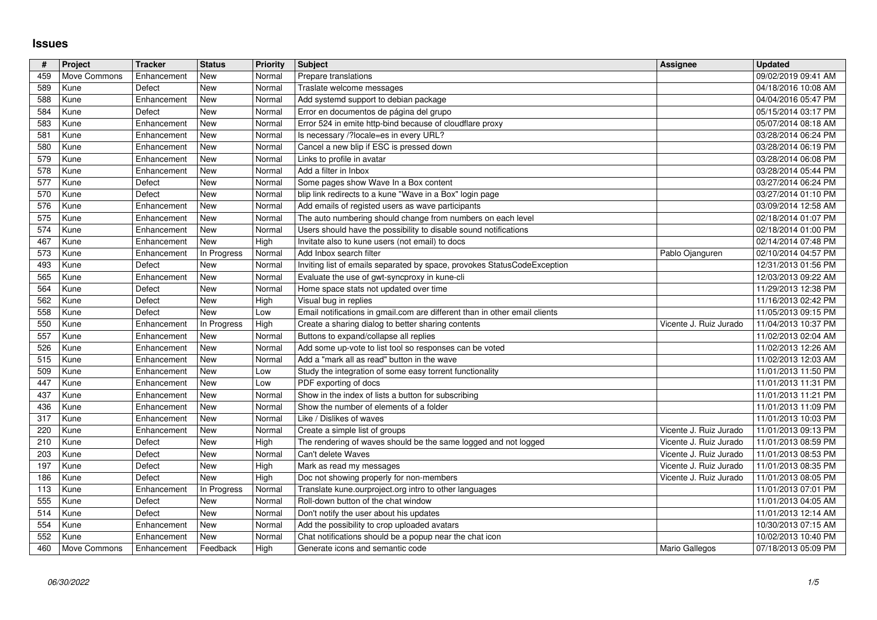## **Issues**

| #          | Project              | <b>Tracker</b>             | <b>Status</b><br>New | Priority         | <b>Subject</b>                                                                                                                   | Assignee                                         | <b>Updated</b>                             |
|------------|----------------------|----------------------------|----------------------|------------------|----------------------------------------------------------------------------------------------------------------------------------|--------------------------------------------------|--------------------------------------------|
| 459<br>589 | Move Commons<br>Kune | Enhancement<br>Defect      | New                  | Normal<br>Normal | Prepare translations<br>Traslate welcome messages                                                                                |                                                  | 09/02/2019 09:41 AM<br>04/18/2016 10:08 AM |
| 588<br>584 | Kune<br>Kune         | Enhancement<br>Defect      | New<br>New           | Normal<br>Normal | Add systemd support to debian package<br>Error en documentos de página del grupo                                                 |                                                  | 04/04/2016 05:47 PM<br>05/15/2014 03:17 PM |
| 583        | Kune                 | Enhancement                | New                  | Normal           | Error 524 in emite http-bind because of cloudflare proxy                                                                         |                                                  | 05/07/2014 08:18 AM                        |
| 581<br>580 | Kune<br>Kune         | Enhancement<br>Enhancement | New<br>New           | Normal<br>Normal | Is necessary /?locale=es in every URL?<br>Cancel a new blip if ESC is pressed down                                               |                                                  | 03/28/2014 06:24 PM<br>03/28/2014 06:19 PM |
| 579        | Kune                 | Enhancement                | New                  | Normal           | Links to profile in avatar                                                                                                       |                                                  | 03/28/2014 06:08 PM                        |
| 578<br>577 | Kune<br>Kune         | Enhancement<br>Defect      | New<br>New           | Normal<br>Normal | Add a filter in Inbox<br>Some pages show Wave In a Box content                                                                   |                                                  | 03/28/2014 05:44 PM<br>03/27/2014 06:24 PM |
| 570        | Kune                 | Defect                     | New                  | Normal           | blip link redirects to a kune "Wave in a Box" login page                                                                         |                                                  | 03/27/2014 01:10 PM                        |
| 576<br>575 | Kune<br>Kune         | Enhancement<br>Enhancement | New<br>New           | Normal<br>Normal | Add emails of registed users as wave participants<br>The auto numbering should change from numbers on each level                 |                                                  | 03/09/2014 12:58 AM<br>02/18/2014 01:07 PM |
| 574        | Kune                 | Enhancement                | New                  | Normal           | Users should have the possibility to disable sound notifications                                                                 |                                                  | 02/18/2014 01:00 PM                        |
| 467<br>573 | Kune<br>Kune         | Enhancement<br>Enhancement | New<br>In Progress   | High<br>Normal   | Invitate also to kune users (not email) to docs<br>Add Inbox search filter                                                       | Pablo Ojanguren                                  | 02/14/2014 07:48 PM<br>02/10/2014 04:57 PM |
| 493        | Kune                 | Defect                     | New                  | Normal           | Inviting list of emails separated by space, provokes StatusCodeException                                                         |                                                  | 12/31/2013 01:56 PM                        |
| 565<br>564 | Kune<br>Kune         | Enhancement<br>Defect      | New<br>New           | Normal<br>Normal | Evaluate the use of gwt-syncproxy in kune-cli<br>Home space stats not updated over time                                          |                                                  | 12/03/2013 09:22 AM<br>11/29/2013 12:38 PM |
| 562        | Kune                 | Defect                     | New                  | High             | Visual bug in replies                                                                                                            |                                                  | 11/16/2013 02:42 PM                        |
| 558<br>550 | Kune<br>Kune         | Defect<br>Enhancement      | New<br>In Progress   | Low<br>High      | Email notifications in gmail.com are different than in other email clients<br>Create a sharing dialog to better sharing contents | Vicente J. Ruiz Jurado                           | 11/05/2013 09:15 PM<br>11/04/2013 10:37 PM |
| 557        | Kune                 | Enhancement                | New                  | Normal<br>Normal | Buttons to expand/collapse all replies<br>Add some up-vote to list tool so responses can be voted                                |                                                  | 11/02/2013 02:04 AM                        |
| 526<br>515 | Kune<br>Kune         | Enhancement<br>Enhancement | New<br>New           | Normal           | Add a "mark all as read" button in the wave                                                                                      |                                                  | 11/02/2013 12:26 AM<br>11/02/2013 12:03 AM |
| 509        | Kune                 | Enhancement                | New                  | Low              | Study the integration of some easy torrent functionality                                                                         |                                                  | 11/01/2013 11:50 PM                        |
| 447<br>437 | Kune<br>Kune         | Enhancement<br>Enhancement | New<br>New           | Low<br>Normal    | PDF exporting of docs<br>Show in the index of lists a button for subscribing                                                     |                                                  | 11/01/2013 11:31 PM<br>11/01/2013 11:21 PM |
| 436        | Kune                 | Enhancement                | New                  | Normal           | Show the number of elements of a folder                                                                                          |                                                  | 11/01/2013 11:09 PM                        |
| 317<br>220 | Kune<br>Kune         | Enhancement<br>Enhancement | New<br>New           | Normal<br>Normal | Like / Dislikes of waves<br>Create a simple list of groups                                                                       | Vicente J. Ruiz Jurado                           | 11/01/2013 10:03 PM<br>11/01/2013 09:13 PM |
| 210        | Kune                 | Defect                     | New<br>New           | High<br>Normal   | The rendering of waves should be the same logged and not logged<br>Can't delete Waves                                            | Vicente J. Ruiz Jurado                           | 11/01/2013 08:59 PM                        |
| 203<br>197 | Kune<br>Kune         | Defect<br>Defect           | New                  | High             | Mark as read my messages                                                                                                         | Vicente J. Ruiz Jurado<br>Vicente J. Ruiz Jurado | 11/01/2013 08:53 PM<br>11/01/2013 08:35 PM |
| 186        | Kune                 | Defect                     | New                  | High             | Doc not showing properly for non-members                                                                                         | Vicente J. Ruiz Jurado                           | 11/01/2013 08:05 PM                        |
| 113<br>555 | Kune<br>Kune         | Enhancement<br>Defect      | In Progress<br>New   | Normal<br>Normal | Translate kune.ourproject.org intro to other languages<br>Roll-down button of the chat window                                    |                                                  | 11/01/2013 07:01 PM<br>11/01/2013 04:05 AM |
| 514<br>554 | Kune<br>Kune         | Defect<br>Enhancement New  | New                  | Normal<br>Normal | Don't notify the user about his updates<br>Add the possibility to crop uploaded avatars                                          |                                                  | 11/01/2013 12:14 AM<br>10/30/2013 07:15 AM |
| 552        | Kune                 | Enhancement                | New                  | Normal           | Chat notifications should be a popup near the chat icon                                                                          |                                                  | 10/02/2013 10:40 PM                        |
| 460        | Move Commons         | Enhancement                | Feedback             | High             | Generate icons and semantic code                                                                                                 | Mario Gallegos                                   | 07/18/2013 05:09 PM                        |
|            |                      |                            |                      |                  |                                                                                                                                  |                                                  |                                            |
|            |                      |                            |                      |                  |                                                                                                                                  |                                                  |                                            |
|            |                      |                            |                      |                  |                                                                                                                                  |                                                  |                                            |
|            |                      |                            |                      |                  |                                                                                                                                  |                                                  |                                            |
|            |                      |                            |                      |                  |                                                                                                                                  |                                                  |                                            |
|            |                      |                            |                      |                  |                                                                                                                                  |                                                  |                                            |
|            |                      |                            |                      |                  |                                                                                                                                  |                                                  |                                            |
|            |                      |                            |                      |                  |                                                                                                                                  |                                                  |                                            |
|            |                      |                            |                      |                  |                                                                                                                                  |                                                  |                                            |
|            |                      |                            |                      |                  |                                                                                                                                  |                                                  |                                            |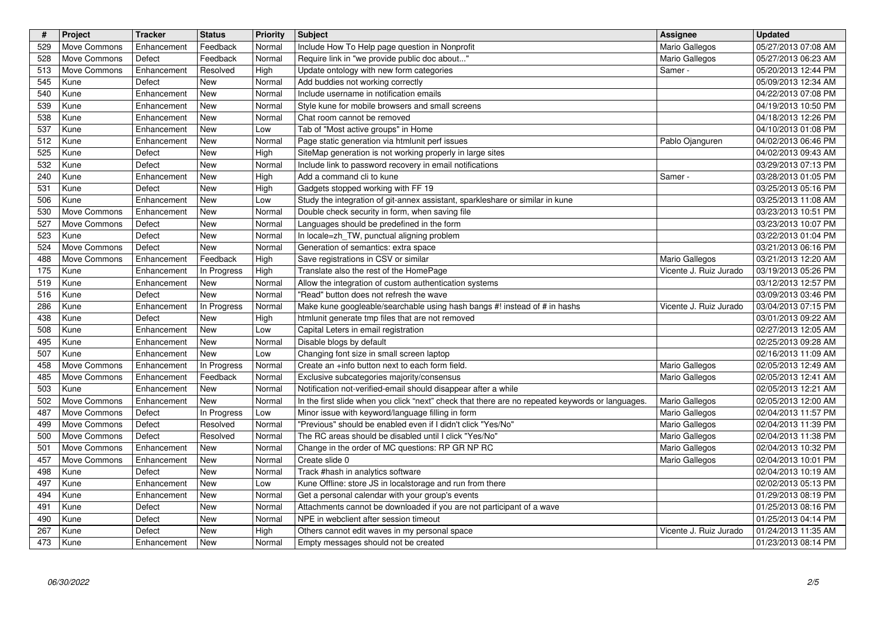| #<br>529   | Project<br>Move Commons      | Tracker<br>Enhancement         | <b>Status</b><br>Feedback | <b>Priority</b><br>Normal | <b>Subject</b><br>Include How To Help page question in Nonprofit                                                                                      | Assignee<br>Mario Gallegos               | <b>Updated</b><br>05/27/2013 07:08 AM      |
|------------|------------------------------|--------------------------------|---------------------------|---------------------------|-------------------------------------------------------------------------------------------------------------------------------------------------------|------------------------------------------|--------------------------------------------|
| 528<br>513 | Move Commons<br>Move Commons | Defect<br>Enhancement          | Feedback<br>Resolved      | Normal<br>High            | Require link in "we provide public doc about"<br>Update ontology with new form categories                                                             | Mario Gallegos<br>Samer -                | 05/27/2013 06:23 AM<br>05/20/2013 12:44 PM |
| 545        | Kune                         | Defect                         | New                       | Normal                    | Add buddies not working correctly                                                                                                                     |                                          | 05/09/2013 12:34 AM                        |
| 540<br>539 | Kune<br>Kune                 | Enhancement<br>Enhancement     | New<br>New                | Normal<br>Normal          | Include username in notification emails<br>Style kune for mobile browsers and small screens                                                           |                                          | 04/22/2013 07:08 PM<br>04/19/2013 10:50 PM |
| 538<br>537 | Kune<br>Kune                 | Enhancement<br>Enhancement     | New<br>New                | Normal<br>Low             | Chat room cannot be removed<br>Tab of "Most active groups" in Home                                                                                    |                                          | 04/18/2013 12:26 PM<br>04/10/2013 01:08 PM |
| 512<br>525 | Kune<br>Kune                 | Enhancement<br>Defect          | New<br>New                | Normal<br>High            | Page static generation via htmlunit perf issues<br>SiteMap generation is not working properly in large sites                                          | Pablo Ojanguren                          | 04/02/2013 06:46 PM<br>04/02/2013 09:43 AM |
| 532        | Kune                         | Defect                         | New                       | Normal                    | Include link to password recovery in email notifications                                                                                              |                                          | 03/29/2013 07:13 PM                        |
| 240<br>531 | Kune<br>Kune                 | Enhancement<br>Defect          | New<br>New                | High<br>High              | Add a command cli to kune<br>Gadgets stopped working with FF 19                                                                                       | Samer                                    | 03/28/2013 01:05 PM<br>03/25/2013 05:16 PM |
| 506<br>530 | Kune<br>Move Commons         | Enhancement<br>Enhancement     | New<br>New                | Low<br>Normal             | Study the integration of git-annex assistant, sparkleshare or similar in kune<br>Double check security in form, when saving file                      |                                          | 03/25/2013 11:08 AM<br>03/23/2013 10:51 PM |
| 527<br>523 | Move Commons<br>Kune         | Defect<br>Defect               | New<br>New                | Normal<br>Normal          | Languages should be predefined in the form<br>In locale=zh_TW, punctual aligning problem                                                              |                                          | 03/23/2013 10:07 PM<br>03/22/2013 01:04 PM |
| 524        | Move Commons                 | Defect                         | New                       | Normal                    | Generation of semantics: extra space                                                                                                                  |                                          | 03/21/2013 06:16 PM                        |
| 488<br>175 | Move Commons<br>Kune         | Enhancement<br>Enhancement     | Feedback<br>In Progress   | High<br>High              | Save registrations in CSV or similar<br>Translate also the rest of the HomePage                                                                       | Mario Gallegos<br>Vicente J. Ruiz Jurado | 03/21/2013 12:20 AM<br>03/19/2013 05:26 PM |
| 519<br>516 | Kune<br>Kune                 | Enhancement<br>Defect          | New<br>New                | Normal<br>Normal          | Allow the integration of custom authentication systems<br>"Read" button does not refresh the wave                                                     |                                          | 03/12/2013 12:57 PM<br>03/09/2013 03:46 PM |
| 286<br>438 | Kune<br>Kune                 | Enhancement<br>Defect          | In Progress<br>New        | Normal<br><b>High</b>     | Make kune googleable/searchable using hash bangs #! instead of # in hashs<br>htmlunit generate tmp files that are not removed                         | Vicente J. Ruiz Jurado                   | 03/04/2013 07:15 PM<br>03/01/2013 09:22 AM |
| 508        | Kune                         | Enhancement                    | New                       | Low                       | Capital Leters in email registration                                                                                                                  |                                          | 02/27/2013 12:05 AM                        |
| 495<br>507 | Kune<br>Kune                 | Enhancement<br>Enhancement     | New<br>New                | Normal<br>Low             | Disable blogs by default<br>Changing font size in small screen laptop                                                                                 |                                          | 02/25/2013 09:28 AM<br>02/16/2013 11:09 AM |
| 458<br>485 | Move Commons<br>Move Commons | Enhancement<br>Enhancement     | In Progress<br>Feedback   | Normal<br>Normal          | Create an +info button next to each form field.<br>Exclusive subcategories majority/consensus                                                         | Mario Gallegos<br>Mario Gallegos         | 02/05/2013 12:49 AM<br>02/05/2013 12:41 AM |
| 503        | Kune                         | Enhancement                    | New                       | Normal                    | Notification not-verified-email should disappear after a while                                                                                        |                                          | 02/05/2013 12:21 AM                        |
| 502<br>487 | Move Commons<br>Move Commons | Enhancement<br>Defect          | New<br>In Progress        | Normal<br>Low             | In the first slide when you click "next" check that there are no repeated keywords or languages.<br>Minor issue with keyword/language filling in form | Mario Gallegos<br>Mario Gallegos         | 02/05/2013 12:00 AM<br>02/04/2013 11:57 PM |
| 499        | Move Commons                 | Defect                         | Resolved                  | Normal                    | "Previous" should be enabled even if I didn't click "Yes/No"                                                                                          | Mario Gallegos                           | 02/04/2013 11:39 PM                        |
| 500<br>501 | Move Commons<br>Move Commons | Defect<br>Enhancement          | Resolved<br>New           | Normal<br>Normal          | The RC areas should be disabled until I click "Yes/No"<br>Change in the order of MC questions: RP GR NP RC                                            | Mario Gallegos<br>Mario Gallegos         | 02/04/2013 11:38 PM<br>02/04/2013 10:32 PM |
| 457<br>498 | Move Commons<br>Kune         | Enhancement<br>Defect          | New<br>New                | Normal<br>Normal          | Create slide 0<br>Track #hash in analytics software                                                                                                   | Mario Gallegos                           | 02/04/2013 10:01 PM<br>02/04/2013 10:19 AM |
| 497<br>494 | Kune<br>Kune                 | Enhancement<br>Enhancement New | New                       | Low<br>Normal             | Kune Offline: store JS in localstorage and run from there<br>Get a personal calendar with your group's events                                         |                                          | 02/02/2013 05:13 PM<br>01/29/2013 08:19 PM |
| 491        | Kune                         | Defect                         | New                       | Normal                    | Attachments cannot be downloaded if you are not participant of a wave                                                                                 |                                          | 01/25/2013 08:16 PM                        |
| 490<br>267 | Kune<br>Kune                 | Defect<br>Defect               | New<br>New                | Normal<br>High            | NPE in webclient after session timeout<br>Others cannot edit waves in my personal space                                                               | Vicente J. Ruiz Jurado                   | 01/25/2013 04:14 PM<br>01/24/2013 11:35 AM |
| 473        | Kune                         | Enhancement                    | New                       | Normal                    | Empty messages should not be created                                                                                                                  |                                          | 01/23/2013 08:14 PM                        |
|            |                              |                                |                           |                           |                                                                                                                                                       |                                          |                                            |
|            |                              |                                |                           |                           |                                                                                                                                                       |                                          |                                            |
|            |                              |                                |                           |                           |                                                                                                                                                       |                                          |                                            |
|            |                              |                                |                           |                           |                                                                                                                                                       |                                          |                                            |
|            |                              |                                |                           |                           |                                                                                                                                                       |                                          |                                            |
|            |                              |                                |                           |                           |                                                                                                                                                       |                                          |                                            |
|            |                              |                                |                           |                           |                                                                                                                                                       |                                          |                                            |
|            |                              |                                |                           |                           |                                                                                                                                                       |                                          |                                            |
|            |                              |                                |                           |                           |                                                                                                                                                       |                                          |                                            |
|            |                              |                                |                           |                           |                                                                                                                                                       |                                          |                                            |
|            |                              |                                |                           |                           |                                                                                                                                                       |                                          |                                            |
|            |                              |                                |                           |                           |                                                                                                                                                       |                                          |                                            |
|            |                              |                                |                           |                           |                                                                                                                                                       |                                          |                                            |
|            |                              |                                |                           |                           |                                                                                                                                                       |                                          |                                            |
|            |                              |                                |                           |                           |                                                                                                                                                       |                                          |                                            |
|            |                              |                                |                           |                           |                                                                                                                                                       |                                          |                                            |
|            |                              |                                |                           |                           |                                                                                                                                                       |                                          |                                            |
|            |                              |                                |                           |                           |                                                                                                                                                       |                                          |                                            |
|            |                              |                                |                           |                           |                                                                                                                                                       |                                          |                                            |
|            |                              |                                |                           |                           |                                                                                                                                                       |                                          |                                            |
|            |                              |                                |                           |                           |                                                                                                                                                       |                                          |                                            |
|            |                              |                                |                           |                           |                                                                                                                                                       |                                          |                                            |
|            |                              |                                |                           |                           |                                                                                                                                                       |                                          |                                            |
|            |                              |                                |                           |                           |                                                                                                                                                       |                                          |                                            |
|            |                              |                                |                           |                           |                                                                                                                                                       |                                          |                                            |
|            |                              |                                |                           |                           |                                                                                                                                                       |                                          |                                            |
|            |                              |                                |                           |                           |                                                                                                                                                       |                                          |                                            |
|            |                              |                                |                           |                           |                                                                                                                                                       |                                          |                                            |
|            |                              |                                |                           |                           |                                                                                                                                                       |                                          |                                            |
|            |                              |                                |                           |                           |                                                                                                                                                       |                                          |                                            |
|            |                              |                                |                           |                           |                                                                                                                                                       |                                          |                                            |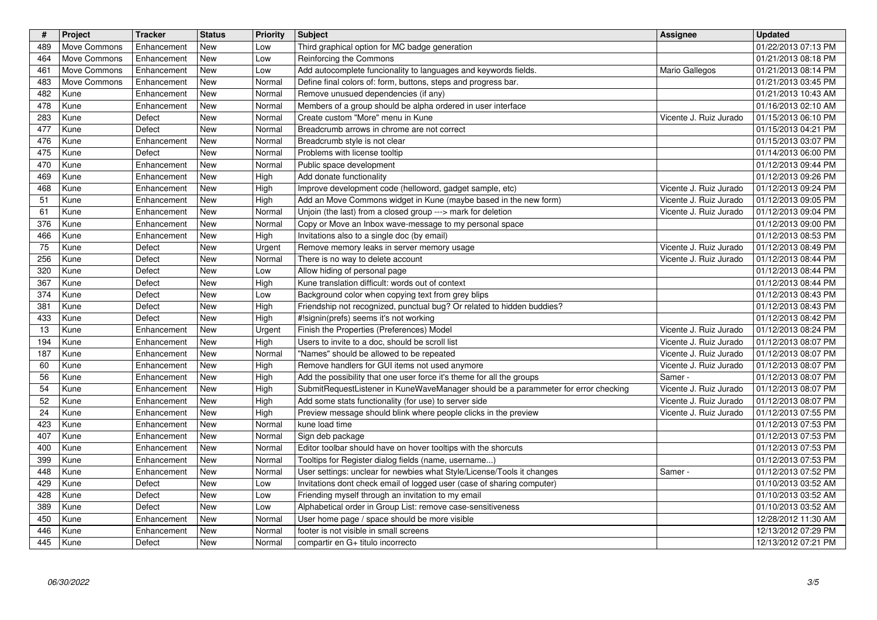| #<br>489   | Project<br>Move Commons          | Tracker<br>Enhancement     | <b>Status</b><br>New | Priority<br>Low  | <b>Subject</b><br>Third graphical option for MC badge generation                                                                                            | Assignee                                         | <b>Updated</b><br>01/22/2013 07:13 PM      |
|------------|----------------------------------|----------------------------|----------------------|------------------|-------------------------------------------------------------------------------------------------------------------------------------------------------------|--------------------------------------------------|--------------------------------------------|
| 464        | Move Commons                     | Enhancement                | New                  | Low              | Reinforcing the Commons                                                                                                                                     |                                                  | 01/21/2013 08:18 PM                        |
| 461<br>483 | Move Commons<br>Move Commons     | Enhancement<br>Enhancement | New<br>New           | Low<br>Normal    | Add autocomplete funcionality to languages and keywords fields.<br>Define final colors of: form, buttons, steps and progress bar.                           | Mario Gallegos                                   | 01/21/2013 08:14 PM<br>01/21/2013 03:45 PM |
| 482<br>478 | Kune<br>Kune                     | Enhancement<br>Enhancement | New<br>New           | Normal<br>Normal | Remove unusued dependencies (if any)<br>Members of a group should be alpha ordered in user interface                                                        |                                                  | 01/21/2013 10:43 AM<br>01/16/2013 02:10 AM |
| 283        | Kune                             | Defect                     | New                  | Normal           | Create custom "More" menu in Kune                                                                                                                           | Vicente J. Ruiz Jurado                           | 01/15/2013 06:10 PM                        |
| 477<br>476 | Kune<br>Kune                     | Defect<br>Enhancement      | New<br>New           | Normal<br>Normal | Breadcrumb arrows in chrome are not correct<br>Breadcrumb style is not clear                                                                                |                                                  | 01/15/2013 04:21 PM<br>01/15/2013 03:07 PM |
| 475        | Kune                             | Defect                     | New                  | Normal           | Problems with license tooltip                                                                                                                               |                                                  | 01/14/2013 06:00 PM                        |
| 470<br>469 | Kune<br>Kune                     | Enhancement<br>Enhancement | New<br>New           | Normal<br>High   | Public space development<br>Add donate functionality                                                                                                        |                                                  | 01/12/2013 09:44 PM<br>01/12/2013 09:26 PM |
| 468<br>51  | Kune<br>Kune                     | Enhancement<br>Enhancement | New<br>New           | High<br>High     | Improve development code (helloword, gadget sample, etc)<br>Add an Move Commons widget in Kune (maybe based in the new form)                                | Vicente J. Ruiz Jurado<br>Vicente J. Ruiz Jurado | 01/12/2013 09:24 PM<br>01/12/2013 09:05 PM |
| 61         | Kune                             | Enhancement                | New                  | Normal           | Unjoin (the last) from a closed group ---> mark for deletion                                                                                                | Vicente J. Ruiz Jurado                           | 01/12/2013 09:04 PM                        |
| 376<br>466 | Kune<br>Kune                     | Enhancement<br>Enhancement | New<br>New           | Normal<br>High   | Copy or Move an Inbox wave-message to my personal space<br>Invitations also to a single doc (by email)                                                      |                                                  | 01/12/2013 09:00 PM<br>01/12/2013 08:53 PM |
| 75<br>256  | Kune<br>Kune                     | Defect<br>Defect           | New<br>New           | Urgent<br>Normal | Remove memory leaks in server memory usage<br>There is no way to delete account                                                                             | Vicente J. Ruiz Jurado<br>Vicente J. Ruiz Jurado | 01/12/2013 08:49 PM<br>01/12/2013 08:44 PM |
| 320        | Kune                             | Defect                     | New                  | Low              | Allow hiding of personal page                                                                                                                               |                                                  | 01/12/2013 08:44 PM                        |
| 367<br>374 | Kune<br>Kune                     | Defect<br>Defect           | New<br>New           | High<br>Low      | Kune translation difficult: words out of context<br>Background color when copying text from grey blips                                                      |                                                  | 01/12/2013 08:44 PM<br>01/12/2013 08:43 PM |
| 381<br>433 | Kune<br>Kune                     | Defect<br>Defect           | New<br>New           | High<br>High     | Friendship not recognized, punctual bug? Or related to hidden buddies?<br>#!signin(prefs) seems it's not working                                            |                                                  | 01/12/2013 08:43 PM<br>01/12/2013 08:42 PM |
| 13         | Kune                             | Enhancement                | New                  | Urgent           | Finish the Properties (Preferences) Model                                                                                                                   | Vicente J. Ruiz Jurado                           | 01/12/2013 08:24 PM                        |
| 194<br>187 | Kune<br>Kune                     | Enhancement<br>Enhancement | New<br>New           | High<br>Normal   | Users to invite to a doc, should be scroll list<br>"Names" should be allowed to be repeated                                                                 | Vicente J. Ruiz Jurado<br>Vicente J. Ruiz Jurado | 01/12/2013 08:07 PM<br>01/12/2013 08:07 PM |
| 60         | Kune                             | Enhancement                | New                  | High             | Remove handlers for GUI items not used anymore                                                                                                              | Vicente J. Ruiz Jurado                           | 01/12/2013 08:07 PM                        |
| 56<br>54   | Kune<br>Kune                     | Enhancement<br>Enhancement | New<br>New           | High<br>High     | Add the possibility that one user force it's theme for all the groups<br>SubmitRequestListener in KuneWaveManager should be a parammeter for error checking | Samer -<br>Vicente J. Ruiz Jurado                | 01/12/2013 08:07 PM<br>01/12/2013 08:07 PM |
| 52<br>24   | Kune<br>Kune                     | Enhancement<br>Enhancement | New<br>New           | High<br>High     | Add some stats functionality (for use) to server side<br>Preview message should blink where people clicks in the preview                                    | Vicente J. Ruiz Jurado<br>Vicente J. Ruiz Jurado | 01/12/2013 08:07 PM<br>01/12/2013 07:55 PM |
| 423        | Kune                             | Enhancement                | New                  | Normal           | kune load time                                                                                                                                              |                                                  | 01/12/2013 07:53 PM                        |
| 407<br>400 | Kune<br>Kune                     | Enhancement<br>Enhancement | New<br>New           | Normal<br>Normal | Sign deb package<br>Editor toolbar should have on hover tooltips with the shorcuts                                                                          |                                                  | 01/12/2013 07:53 PM<br>01/12/2013 07:53 PM |
| 399<br>448 | Kune<br>Kune                     | Enhancement<br>Enhancement | New<br>New           | Normal<br>Normal | Tooltips for Register dialog fields (name, username)<br>User settings: unclear for newbies what Style/License/Tools it changes                              | Samer -                                          | 01/12/2013 07:53 PM<br>01/12/2013 07:52 PM |
| 429        | Kune                             | Defect                     | New                  | Low              | Invitations dont check email of logged user (case of sharing computer)                                                                                      |                                                  | 01/10/2013 03:52 AM                        |
| 428<br>389 | $\overline{1}$<br>  Kune<br>Kune | Defect<br>Defect           | New<br>New           | Low<br>Low       | Friending myself through an invitation to my email<br>Alphabetical order in Group List: remove case-sensitiveness                                           |                                                  | 01/10/2013 03:52 AM<br>01/10/2013 03:52 AM |
| 450<br>446 | Kune<br>Kune                     | Enhancement<br>Enhancement | New<br>New           | Normal           | User home page / space should be more visible<br>footer is not visible in small screens                                                                     |                                                  | 12/28/2012 11:30 AM<br>12/13/2012 07:29 PM |
| 445        | Kune                             | Defect                     | New                  | Normal<br>Normal | compartir en G+ titulo incorrecto                                                                                                                           |                                                  | 12/13/2012 07:21 PM                        |
|            |                                  |                            |                      |                  |                                                                                                                                                             |                                                  |                                            |
|            |                                  |                            |                      |                  |                                                                                                                                                             |                                                  |                                            |
|            |                                  |                            |                      |                  |                                                                                                                                                             |                                                  |                                            |
|            |                                  |                            |                      |                  |                                                                                                                                                             |                                                  |                                            |
|            |                                  |                            |                      |                  |                                                                                                                                                             |                                                  |                                            |
|            |                                  |                            |                      |                  |                                                                                                                                                             |                                                  |                                            |
|            |                                  |                            |                      |                  |                                                                                                                                                             |                                                  |                                            |
|            |                                  |                            |                      |                  |                                                                                                                                                             |                                                  |                                            |
|            |                                  |                            |                      |                  |                                                                                                                                                             |                                                  |                                            |
|            |                                  |                            |                      |                  |                                                                                                                                                             |                                                  |                                            |
|            |                                  |                            |                      |                  |                                                                                                                                                             |                                                  |                                            |
|            |                                  |                            |                      |                  |                                                                                                                                                             |                                                  |                                            |
|            |                                  |                            |                      |                  |                                                                                                                                                             |                                                  |                                            |
|            |                                  |                            |                      |                  |                                                                                                                                                             |                                                  |                                            |
|            |                                  |                            |                      |                  |                                                                                                                                                             |                                                  |                                            |
|            |                                  |                            |                      |                  |                                                                                                                                                             |                                                  |                                            |
|            |                                  |                            |                      |                  |                                                                                                                                                             |                                                  |                                            |
|            |                                  |                            |                      |                  |                                                                                                                                                             |                                                  |                                            |
|            |                                  |                            |                      |                  |                                                                                                                                                             |                                                  |                                            |
|            |                                  |                            |                      |                  |                                                                                                                                                             |                                                  |                                            |
|            |                                  |                            |                      |                  |                                                                                                                                                             |                                                  |                                            |
|            |                                  |                            |                      |                  |                                                                                                                                                             |                                                  |                                            |
|            |                                  |                            |                      |                  |                                                                                                                                                             |                                                  |                                            |
|            |                                  |                            |                      |                  |                                                                                                                                                             |                                                  |                                            |
|            |                                  |                            |                      |                  |                                                                                                                                                             |                                                  |                                            |
|            |                                  |                            |                      |                  |                                                                                                                                                             |                                                  |                                            |
|            |                                  |                            |                      |                  |                                                                                                                                                             |                                                  |                                            |
|            |                                  |                            |                      |                  |                                                                                                                                                             |                                                  |                                            |
|            |                                  |                            |                      |                  |                                                                                                                                                             |                                                  |                                            |
|            |                                  |                            |                      |                  |                                                                                                                                                             |                                                  |                                            |
|            |                                  |                            |                      |                  |                                                                                                                                                             |                                                  |                                            |
|            |                                  |                            |                      |                  |                                                                                                                                                             |                                                  |                                            |
|            |                                  |                            |                      |                  |                                                                                                                                                             |                                                  |                                            |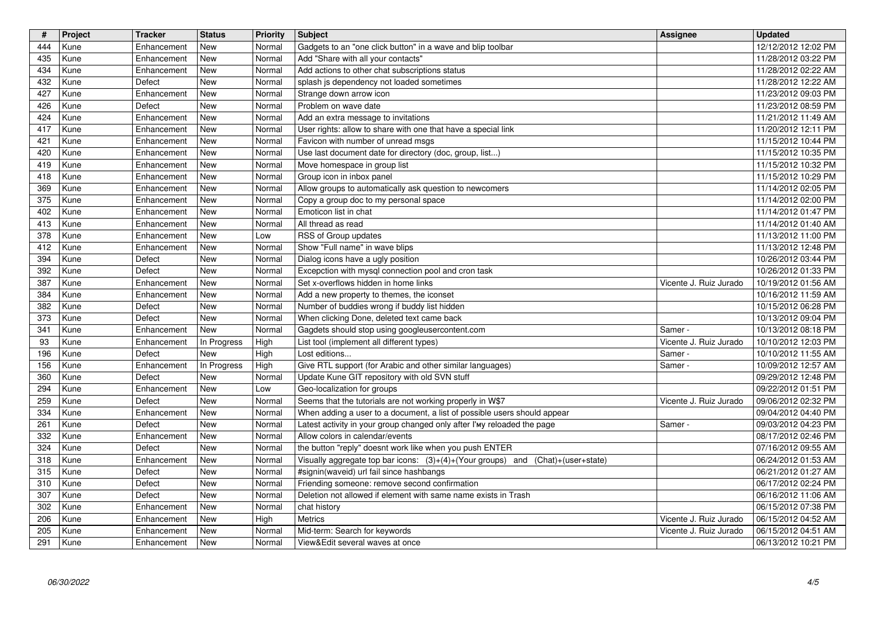| #          | Project      | <b>Tracker</b>             | <b>Status</b>      | <b>Priority</b>  | <b>Subject</b>                                                                                                                                 | Assignee                          | <b>Updated</b>                             |
|------------|--------------|----------------------------|--------------------|------------------|------------------------------------------------------------------------------------------------------------------------------------------------|-----------------------------------|--------------------------------------------|
| 444        | Kune         | Enhancement                | New                | Normal           | Gadgets to an "one click button" in a wave and blip toolbar                                                                                    |                                   | 12/12/2012 12:02 PM                        |
| 435<br>434 | Kune<br>Kune | Enhancement<br>Enhancement | New<br>New         | Normal<br>Normal | Add "Share with all your contacts"<br>Add actions to other chat subscriptions status                                                           |                                   | 11/28/2012 03:22 PM<br>11/28/2012 02:22 AM |
| 432        | Kune         | Defect                     | New                | Normal           | splash js dependency not loaded sometimes                                                                                                      |                                   | 11/28/2012 12:22 AM                        |
| 427        | Kune         | Enhancement                | New                | Normal           | Strange down arrow icon                                                                                                                        |                                   | 11/23/2012 09:03 PM                        |
| 426        | Kune         | Defect                     | New                | Normal           | Problem on wave date                                                                                                                           |                                   | 11/23/2012 08:59 PM                        |
| 424<br>417 | Kune<br>Kune | Enhancement<br>Enhancement | New<br>New         | Normal<br>Normal | Add an extra message to invitations<br>User rights: allow to share with one that have a special link                                           |                                   | 11/21/2012 11:49 AM<br>11/20/2012 12:11 PM |
| 421        | Kune         | Enhancement                | New                | Normal           | Favicon with number of unread msgs                                                                                                             |                                   | 11/15/2012 10:44 PM                        |
| 420        | Kune         | Enhancement                | New                | Normal           | Use last document date for directory (doc, group, list)                                                                                        |                                   | 11/15/2012 10:35 PM                        |
| 419<br>418 | Kune<br>Kune | Enhancement<br>Enhancement | New<br>New         | Normal<br>Normal | Move homespace in group list<br>Group icon in inbox panel                                                                                      |                                   | 11/15/2012 10:32 PM<br>11/15/2012 10:29 PM |
| 369        | Kune         | Enhancement                | New                | Normal           | Allow groups to automatically ask question to newcomers                                                                                        |                                   | 11/14/2012 02:05 PM                        |
| 375        | Kune         | Enhancement                | New                | Normal           | Copy a group doc to my personal space                                                                                                          |                                   | 11/14/2012 02:00 PM                        |
| 402        | Kune         | Enhancement                | New                | Normal           | Emoticon list in chat                                                                                                                          |                                   | 11/14/2012 01:47 PM                        |
| 413<br>378 | Kune<br>Kune | Enhancement<br>Enhancement | New<br>New         | Normal<br>Low    | All thread as read<br>RSS of Group updates                                                                                                     |                                   | 11/14/2012 01:40 AM<br>11/13/2012 11:00 PM |
| 412        | Kune         | Enhancement                | New                | Normal           | Show "Full name" in wave blips                                                                                                                 |                                   | 11/13/2012 12:48 PM                        |
| 394        | Kune         | Defect                     | New                | Normal           | Dialog icons have a ugly position                                                                                                              |                                   | 10/26/2012 03:44 PM                        |
| 392        | Kune         | Defect                     | New                | Normal           | Excepction with mysql connection pool and cron task                                                                                            |                                   | 10/26/2012 01:33 PM                        |
| 387<br>384 | Kune<br>Kune | Enhancement<br>Enhancement | New<br>New         | Normal<br>Normal | Set x-overflows hidden in home links<br>Add a new property to themes, the iconset                                                              | Vicente J. Ruiz Jurado            | 10/19/2012 01:56 AM<br>10/16/2012 11:59 AM |
| 382        | Kune         | Defect                     | New                | Normal           | Number of buddies wrong if buddy list hidden                                                                                                   |                                   | 10/15/2012 06:28 PM                        |
| 373        | Kune         | Defect                     | New                | Normal           | When clicking Done, deleted text came back                                                                                                     |                                   | 10/13/2012 09:04 PM                        |
| 341        | Kune         | Enhancement                | New                | Normal           | Gagdets should stop using googleusercontent.com                                                                                                | Samer -                           | 10/13/2012 08:18 PM                        |
| 93<br>196  | Kune<br>Kune | Enhancement<br>Defect      | In Progress<br>New | High<br>High     | List tool (implement all different types)<br>Lost editions                                                                                     | Vicente J. Ruiz Jurado<br>Samer - | 10/10/2012 12:03 PM<br>10/10/2012 11:55 AM |
| 156        | Kune         | Enhancement                | In Progress        | High             | Give RTL support (for Arabic and other similar languages)                                                                                      | Samer -                           | 10/09/2012 12:57 AM                        |
| 360        | Kune         | Defect                     | New                | Normal           | Update Kune GIT repository with old SVN stuff                                                                                                  |                                   | 09/29/2012 12:48 PM                        |
| 294        | Kune         | Enhancement                | New<br>New         | Low<br>Normal    | Geo-localization for groups                                                                                                                    |                                   | 09/22/2012 01:51 PM                        |
| 259<br>334 | Kune<br>Kune | Defect<br>Enhancement      | New                | Normal           | Seems that the tutorials are not working properly in W\$7<br>When adding a user to a document, a list of possible users should appear          | Vicente J. Ruiz Jurado            | 09/06/2012 02:32 PM<br>09/04/2012 04:40 PM |
| 261        | Kune         | Defect                     | New                | Normal           | Latest activity in your group changed only after I'my reloaded the page                                                                        | Samer -                           | 09/03/2012 04:23 PM                        |
| 332        | Kune         | Enhancement                | New                | Normal           | Allow colors in calendar/events                                                                                                                |                                   | 08/17/2012 02:46 PM                        |
| 324<br>318 | Kune<br>Kune | Defect<br>Enhancement      | New<br>New         | Normal<br>Normal | the button "reply" doesnt work like when you push ENTER<br>Visually aggregate top bar icons: $(3)+(4)+(Your groups)$ and $(Chat)+(user-state)$ |                                   | 07/16/2012 09:55 AM<br>06/24/2012 01:53 AM |
| 315        | Kune         | Defect                     | New                | Normal           | #signin(waveid) url fail since hashbangs                                                                                                       |                                   | 06/21/2012 01:27 AM                        |
| 310        | Kune         | Defect                     | New                | Normal           | Friending someone: remove second confirmation                                                                                                  |                                   | 06/17/2012 02:24 PM                        |
| 307        | Kune         | Defect                     | <b>New</b>         | Normal           | Deletion not allowed if element with same name exists in Trash                                                                                 |                                   | 06/16/2012 11:06 AM                        |
| 302<br>206 | Kune<br>Kune | Enhancement<br>Enhancement | New<br>New         | Normal<br>High   | chat history<br>Metrics                                                                                                                        | Vicente J. Ruiz Jurado            | 06/15/2012 07:38 PM<br>06/15/2012 04:52 AM |
| 205        | Kune         | Enhancement                | New                | Normal           | Mid-term: Search for keywords                                                                                                                  | Vicente J. Ruiz Jurado            | 06/15/2012 04:51 AM                        |
| 291        | Kune         | Enhancement                | New                | Normal           | View&Edit several waves at once                                                                                                                |                                   | 06/13/2012 10:21 PM                        |
|            |              |                            |                    |                  |                                                                                                                                                |                                   |                                            |
|            |              |                            |                    |                  |                                                                                                                                                |                                   |                                            |
|            |              |                            |                    |                  |                                                                                                                                                |                                   |                                            |
|            |              |                            |                    |                  |                                                                                                                                                |                                   |                                            |
|            |              |                            |                    |                  |                                                                                                                                                |                                   |                                            |
|            |              |                            |                    |                  |                                                                                                                                                |                                   |                                            |
|            |              |                            |                    |                  |                                                                                                                                                |                                   |                                            |
|            |              |                            |                    |                  |                                                                                                                                                |                                   |                                            |
|            |              |                            |                    |                  |                                                                                                                                                |                                   |                                            |
|            |              |                            |                    |                  |                                                                                                                                                |                                   |                                            |
|            |              |                            |                    |                  |                                                                                                                                                |                                   |                                            |
|            |              |                            |                    |                  |                                                                                                                                                |                                   |                                            |
|            |              |                            |                    |                  |                                                                                                                                                |                                   |                                            |
|            |              |                            |                    |                  |                                                                                                                                                |                                   |                                            |
|            |              |                            |                    |                  |                                                                                                                                                |                                   |                                            |
|            |              |                            |                    |                  |                                                                                                                                                |                                   |                                            |
|            |              |                            |                    |                  |                                                                                                                                                |                                   |                                            |
|            |              |                            |                    |                  |                                                                                                                                                |                                   |                                            |
|            |              |                            |                    |                  |                                                                                                                                                |                                   |                                            |
|            |              |                            |                    |                  |                                                                                                                                                |                                   |                                            |
|            |              |                            |                    |                  |                                                                                                                                                |                                   |                                            |